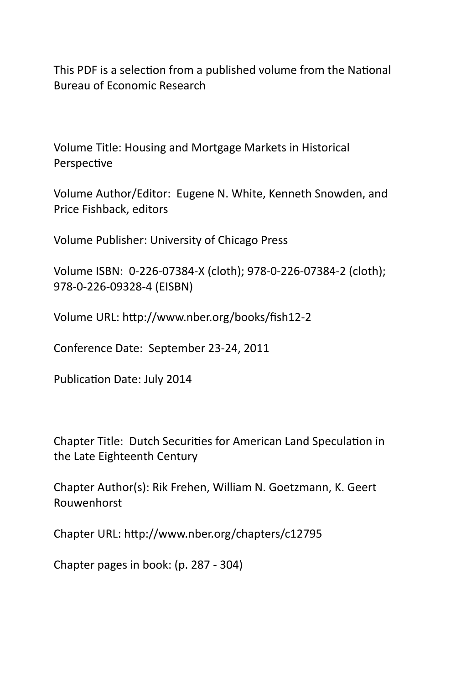This PDF is a selection from a published volume from the National Bureau of Economic Research

Volume Title: Housing and Mortgage Markets in Historical Perspective

Volume Author/Editor: Eugene N. White, Kenneth Snowden, and Price Fishback, editors

Volume Publisher: University of Chicago Press

Volume ISBN: 0‐226‐07384‐X (cloth); 978‐0‐226‐07384‐2 (cloth); 978‐0‐226‐09328‐4 (EISBN)

Volume URL: http://www.nber.org/books/fish12-2

Conference Date: September 23‐24, 2011

Publication Date: July 2014

Chapter Title: Dutch Securities for American Land Speculation in the Late Eighteenth Century

Chapter Author(s): Rik Frehen, William N. Goetzmann, K. Geert Rouwenhorst

Chapter URL: hƩp://www.nber.org/chapters/c12795

Chapter pages in book: (p. 287 ‐ 304)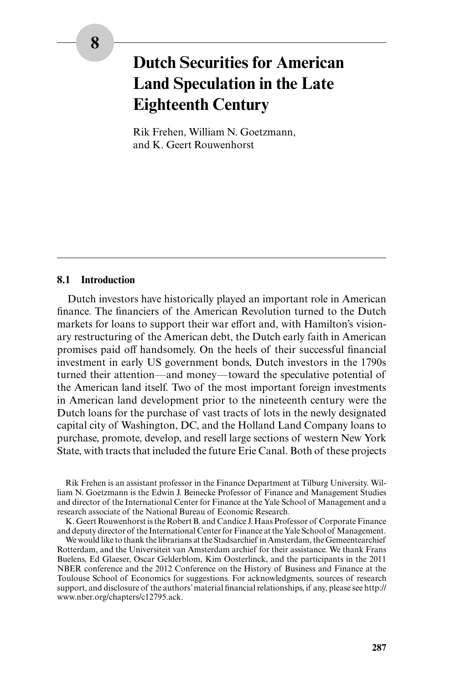# **Dutch Securities for American Land Speculation in the Late Eighteenth Century**

Rik Frehen, William N. Goetzmann, and K. Geert Rouwenhorst

## **8.1 Introduction**

Dutch investors have historically played an important role in American finance. The financiers of the American Revolution turned to the Dutch markets for loans to support their war effort and, with Hamilton's visionary restructuring of the American debt, the Dutch early faith in American promises paid off handsomely. On the heels of their successful financial investment in early US government bonds, Dutch investors in the 1790s turned their attention—and money—toward the speculative potential of the American land itself. Two of the most important foreign investments in American land development prior to the nineteenth century were the Dutch loans for the purchase of vast tracts of lots in the newly designated capital city of Washington, DC, and the Holland Land Company loans to purchase, promote, develop, and resell large sections of western New York State, with tracts that included the future Erie Canal. Both of these projects

Rik Frehen is an assistant professor in the Finance Department at Tilburg University. William N. Goetzmann is the Edwin J. Beinecke Professor of Finance and Management Studies and director of the International Center for Finance at the Yale School of Management and a research associate of the National Bureau of Economic Research.

K. Geert Rouwenhorst is the Robert B. and Candice J. Haas Professor of Corporate Finance and deputy director of the International Center for Finance at the Yale School of Management.

We would like to thank the librarians at the Stadsarchief in Amsterdam, the Gemeentearchief Rotterdam, and the Universiteit van Amsterdam archief for their assistance. We thank Frans Buelens, Ed Glaeser, Oscar Gelderblom, Kim Oosterlinck, and the participants in the 2011 NBER conference and the 2012 Conference on the History of Business and Finance at the Toulouse School of Economics for suggestions. For acknowledgments, sources of research support, and disclosure of the authors' material financial relationships, if any, please see http:// www.nber.org/chapters/c12795.ack.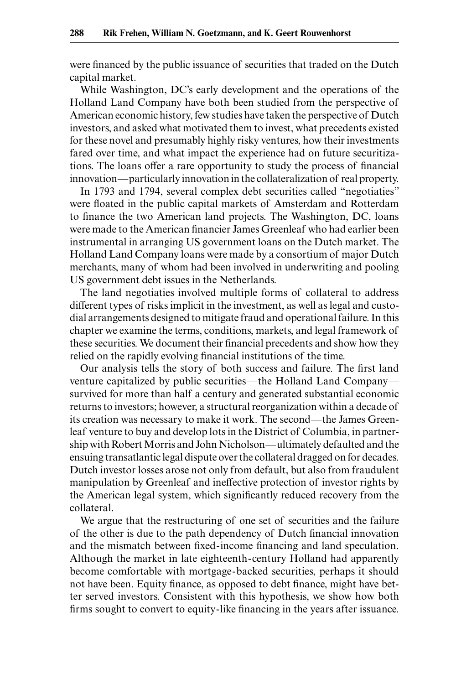were financed by the public issuance of securities that traded on the Dutch capital market.

While Washington, DC's early development and the operations of the Holland Land Company have both been studied from the perspective of American economic history, few studies have taken the perspective of Dutch investors, and asked what motivated them to invest, what precedents existed for these novel and presumably highly risky ventures, how their investments fared over time, and what impact the experience had on future securitizations. The loans offer a rare opportunity to study the process of financial innovation—particularly innovation in the collateralization of real property.

In 1793 and 1794, several complex debt securities called "negotiaties" were floated in the public capital markets of Amsterdam and Rotterdam to finance the two American land projects. The Washington, DC, loans were made to the American financier James Greenleaf who had earlier been instrumental in arranging US government loans on the Dutch market. The Holland Land Company loans were made by a consortium of major Dutch merchants, many of whom had been involved in underwriting and pooling US government debt issues in the Netherlands.

The land negotiaties involved multiple forms of collateral to address different types of risks implicit in the investment, as well as legal and custodial arrangements designed to mitigate fraud and operational failure. In this chapter we examine the terms, conditions, markets, and legal framework of these securities. We document their financial precedents and show how they relied on the rapidly evolving financial institutions of the time.

Our analysis tells the story of both success and failure. The first land venture capitalized by public securities—the Holland Land Company survived for more than half a century and generated substantial economic returns to investors; however, a structural reorganization within a decade of its creation was necessary to make it work. The second—the James Greenleaf venture to buy and develop lots in the District of Columbia, in partnership with Robert Morris and John Nicholson—ultimately defaulted and the ensuing transatlantic legal dispute over the collateral dragged on for decades. Dutch investor losses arose not only from default, but also from fraudulent manipulation by Greenleaf and ineffective protection of investor rights by the American legal system, which significantly reduced recovery from the collateral.

We argue that the restructuring of one set of securities and the failure of the other is due to the path dependency of Dutch financial innovation and the mismatch between fixed-income financing and land speculation. Although the market in late eighteenth-century Holland had apparently become comfortable with mortgage-backed securities, perhaps it should not have been. Equity finance, as opposed to debt finance, might have better served investors. Consistent with this hypothesis, we show how both firms sought to convert to equity-like financing in the years after issuance.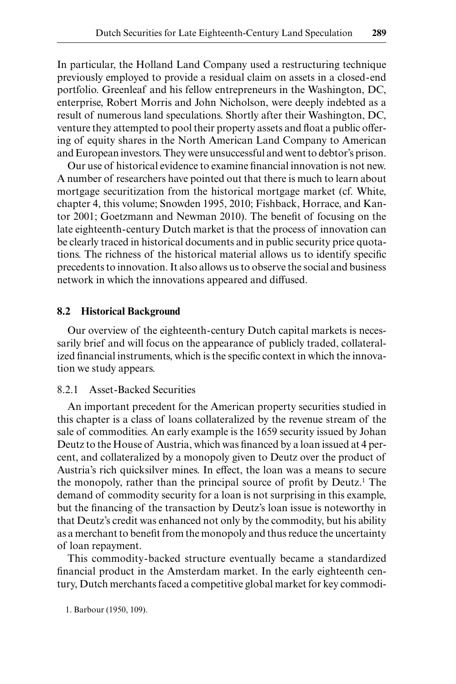In particular, the Holland Land Company used a restructuring technique previously employed to provide a residual claim on assets in a closed-end portfolio. Greenleaf and his fellow entrepreneurs in the Washington, DC, enterprise, Robert Morris and John Nicholson, were deeply indebted as a result of numerous land speculations. Shortly after their Washington, DC, venture they attempted to pool their property assets and float a public offering of equity shares in the North American Land Company to American and European investors. They were unsuccessful and went to debtor's prison.

Our use of historical evidence to examine financial innovation is not new. A number of researchers have pointed out that there is much to learn about mortgage securitization from the historical mortgage market (cf. White, chapter 4, this volume; Snowden 1995, 2010; Fishback, Horrace, and Kantor 2001; Goetzmann and Newman 2010). The benefit of focusing on the late eighteenth-century Dutch market is that the process of innovation can be clearly traced in historical documents and in public security price quotations. The richness of the historical material allows us to identify specific precedents to innovation. It also allows us to observe the social and business network in which the innovations appeared and diffused.

#### **8.2 Historical Background**

Our overview of the eighteenth-century Dutch capital markets is necessarily brief and will focus on the appearance of publicly traded, collateralized financial instruments, which is the specific context in which the innovation we study appears.

## 8.2.1 Asset-Backed Securities

An important precedent for the American property securities studied in this chapter is a class of loans collateralized by the revenue stream of the sale of commodities. An early example is the 1659 security issued by Johan Deutz to the House of Austria, which was financed by a loan issued at 4 percent, and collateralized by a monopoly given to Deutz over the product of Austria's rich quicksilver mines. In effect, the loan was a means to secure the monopoly, rather than the principal source of profit by Deutz.<sup>1</sup> The demand of commodity security for a loan is not surprising in this example, but the financing of the transaction by Deutz's loan issue is noteworthy in that Deutz's credit was enhanced not only by the commodity, but his ability as a merchant to benefit from the monopoly and thus reduce the uncertainty of loan repayment.

This commodity-backed structure eventually became a standardized financial product in the Amsterdam market. In the early eighteenth century, Dutch merchants faced a competitive global market for key commodi-

1. Barbour (1950, 109).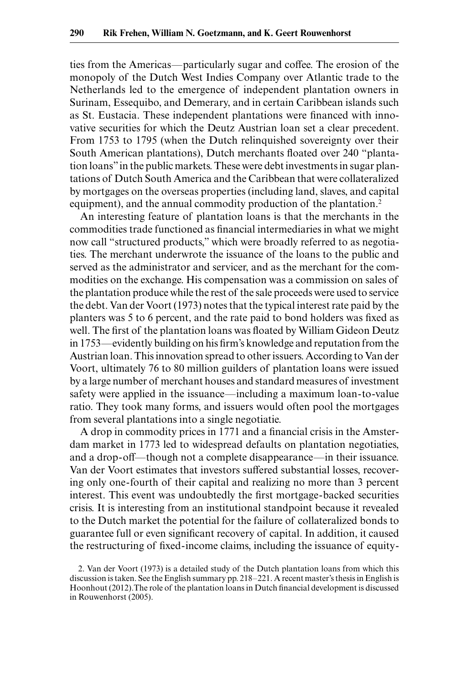ties from the Americas—particularly sugar and coffee. The erosion of the monopoly of the Dutch West Indies Company over Atlantic trade to the Netherlands led to the emergence of independent plantation owners in Surinam, Essequibo, and Demerary, and in certain Caribbean islands such as St. Eustacia. These independent plantations were financed with innovative securities for which the Deutz Austrian loan set a clear precedent. From 1753 to 1795 (when the Dutch relinquished sovereignty over their South American plantations), Dutch merchants floated over 240 "plantation loans" in the public markets. These were debt investments in sugar plantations of Dutch South America and the Caribbean that were collateralized by mortgages on the overseas properties (including land, slaves, and capital equipment), and the annual commodity production of the plantation.<sup>2</sup>

An interesting feature of plantation loans is that the merchants in the commodities trade functioned as financial intermediaries in what we might now call "structured products," which were broadly referred to as negotiaties. The merchant underwrote the issuance of the loans to the public and served as the administrator and servicer, and as the merchant for the commodities on the exchange. His compensation was a commission on sales of the plantation produce while the rest of the sale proceeds were used to service the debt. Van der Voort (1973) notes that the typical interest rate paid by the planters was 5 to 6 percent, and the rate paid to bond holders was fixed as well. The first of the plantation loans was floated by William Gideon Deutz in 1753—evidently building on his firm's knowledge and reputation from the Austrian loan. This innovation spread to other issuers. According to Van der Voort, ultimately 76 to 80 million guilders of plantation loans were issued by a large number of merchant houses and standard measures of investment safety were applied in the issuance—including a maximum loan-to-value ratio. They took many forms, and issuers would often pool the mortgages from several plantations into a single negotiatie.

A drop in commodity prices in 1771 and a financial crisis in the Amsterdam market in 1773 led to widespread defaults on plantation negotiaties, and a drop-off—though not a complete disappearance—in their issuance. Van der Voort estimates that investors suffered substantial losses, recovering only one-fourth of their capital and realizing no more than 3 percent interest. This event was undoubtedly the first mortgage-backed securities crisis. It is interesting from an institutional standpoint because it revealed to the Dutch market the potential for the failure of collateralized bonds to guarantee full or even significant recovery of capital. In addition, it caused the restructuring of fixed-income claims, including the issuance of equity-

<sup>2.</sup> Van der Voort (1973) is a detailed study of the Dutch plantation loans from which this discussion is taken. See the English summary pp. 218–221. A recent master's thesis in English is Hoonhout (2012). The role of the plantation loans in Dutch financial development is discussed in Rouwenhorst (2005).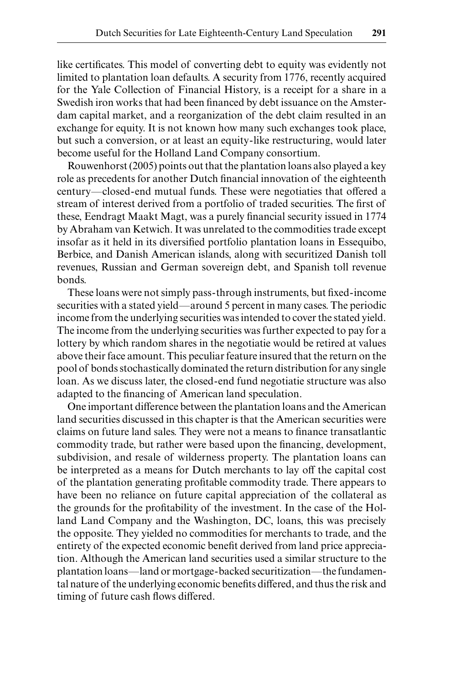like certificates. This model of converting debt to equity was evidently not limited to plantation loan defaults. A security from 1776, recently acquired for the Yale Collection of Financial History, is a receipt for a share in a Swedish iron works that had been financed by debt issuance on the Amsterdam capital market, and a reorganization of the debt claim resulted in an exchange for equity. It is not known how many such exchanges took place, but such a conversion, or at least an equity-like restructuring, would later become useful for the Holland Land Company consortium.

Rouwenhorst (2005) points out that the plantation loans also played a key role as precedents for another Dutch financial innovation of the eighteenth century—closed-end mutual funds. These were negotiaties that offered a stream of interest derived from a portfolio of traded securities. The first of these, Eendragt Maakt Magt, was a purely financial security issued in 1774 by Abraham van Ketwich. It was unrelated to the commodities trade except insofar as it held in its diversified portfolio plantation loans in Essequibo, Berbice, and Danish American islands, along with securitized Danish toll revenues, Russian and German sovereign debt, and Spanish toll revenue bonds.

These loans were not simply pass-through instruments, but fixed-income securities with a stated yield—around 5 percent in many cases. The periodic income from the underlying securities was intended to cover the stated yield. The income from the underlying securities was further expected to pay for a lottery by which random shares in the negotiatie would be retired at values above their face amount. This peculiar feature insured that the return on the pool of bonds stochastically dominated the return distribution for any single loan. As we discuss later, the closed-end fund negotiatie structure was also adapted to the financing of American land speculation.

One important difference between the plantation loans and the American land securities discussed in this chapter is that the American securities were claims on future land sales. They were not a means to finance transatlantic commodity trade, but rather were based upon the financing, development, subdivision, and resale of wilderness property. The plantation loans can be interpreted as a means for Dutch merchants to lay off the capital cost of the plantation generating profitable commodity trade. There appears to have been no reliance on future capital appreciation of the collateral as the grounds for the profitability of the investment. In the case of the Holland Land Company and the Washington, DC, loans, this was precisely the opposite. They yielded no commodities for merchants to trade, and the entirety of the expected economic benefit derived from land price appreciation. Although the American land securities used a similar structure to the plantation loans—land or mortgage-backed securitization—the fundamental nature of the underlying economic benefits differed, and thus the risk and timing of future cash flows differed.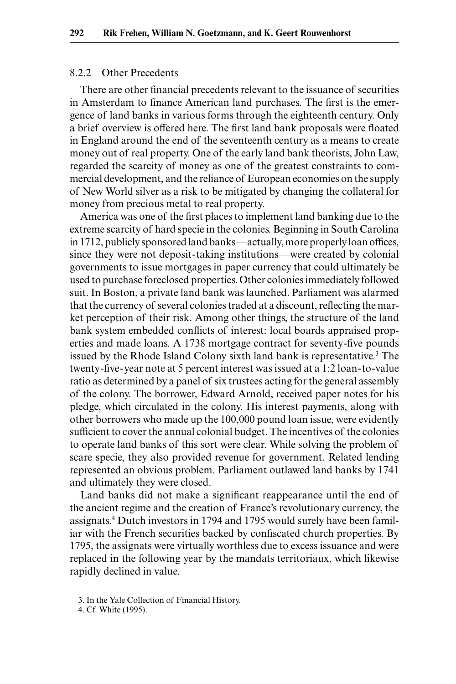#### 8.2.2 Other Precedents

There are other financial precedents relevant to the issuance of securities in Amsterdam to finance American land purchases. The first is the emergence of land banks in various forms through the eighteenth century. Only a brief overview is offered here. The first land bank proposals were floated in England around the end of the seventeenth century as a means to create money out of real property. One of the early land bank theorists, John Law, regarded the scarcity of money as one of the greatest constraints to commercial development, and the reliance of European economies on the supply of New World silver as a risk to be mitigated by changing the collateral for money from precious metal to real property.

America was one of the first places to implement land banking due to the extreme scarcity of hard specie in the colonies. Beginning in South Carolina in 1712, publicly sponsored land banks—actually, more properly loan offices, since they were not deposit-taking institutions—were created by colonial governments to issue mortgages in paper currency that could ultimately be used to purchase foreclosed properties. Other colonies immediately followed suit. In Boston, a private land bank was launched. Parliament was alarmed that the currency of several colonies traded at a discount, reflecting the market perception of their risk. Among other things, the structure of the land bank system embedded conflicts of interest: local boards appraised properties and made loans. A 1738 mortgage contract for seventy-five pounds issued by the Rhode Island Colony sixth land bank is representative.<sup>3</sup> The twenty-five-year note at 5 percent interest was issued at a 1:2 loan-to-value ratio as determined by a panel of six trustees acting for the general assembly of the colony. The borrower, Edward Arnold, received paper notes for his pledge, which circulated in the colony. His interest payments, along with other borrowers who made up the 100,000 pound loan issue, were evidently sufficient to cover the annual colonial budget. The incentives of the colonies to operate land banks of this sort were clear. While solving the problem of scare specie, they also provided revenue for government. Related lending represented an obvious problem. Parliament outlawed land banks by 1741 and ultimately they were closed.

Land banks did not make a significant reappearance until the end of the ancient regime and the creation of France's revolutionary currency, the assignats.4 Dutch investors in 1794 and 1795 would surely have been familiar with the French securities backed by confiscated church properties. By 1795, the assignats were virtually worthless due to excess issuance and were replaced in the following year by the mandats territoriaux, which likewise rapidly declined in value.

<sup>3.</sup> In the Yale Collection of Financial History.

<sup>4.</sup> Cf. White (1995).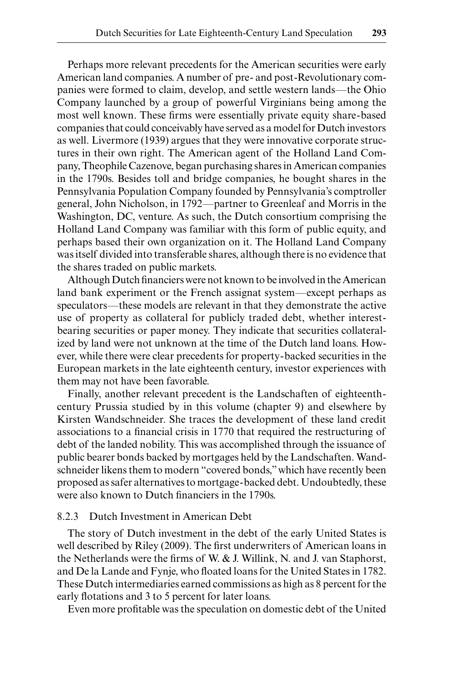Perhaps more relevant precedents for the American securities were early American land companies. A number of pre- and post-Revolutionary companies were formed to claim, develop, and settle western lands—the Ohio Company launched by a group of powerful Virginians being among the most well known. These firms were essentially private equity share-based companies that could conceivably have served as a model for Dutch investors as well. Livermore (1939) argues that they were innovative corporate structures in their own right. The American agent of the Holland Land Company, Theophile Cazenove, began purchasing shares in American companies in the 1790s. Besides toll and bridge companies, he bought shares in the Pennsylvania Population Company founded by Pennsylvania's comptroller general, John Nicholson, in 1792—partner to Greenleaf and Morris in the Washington, DC, venture. As such, the Dutch consortium comprising the Holland Land Company was familiar with this form of public equity, and perhaps based their own organization on it. The Holland Land Company was itself divided into transferable shares, although there is no evidence that the shares traded on public markets.

Although Dutch financiers were not known to be involved in the American land bank experiment or the French assignat system—except perhaps as speculators—these models are relevant in that they demonstrate the active use of property as collateral for publicly traded debt, whether interestbearing securities or paper money. They indicate that securities collateralized by land were not unknown at the time of the Dutch land loans. However, while there were clear precedents for property-backed securities in the European markets in the late eighteenth century, investor experiences with them may not have been favorable.

Finally, another relevant precedent is the Landschaften of eighteenthcentury Prussia studied by in this volume (chapter 9) and elsewhere by Kirsten Wandschneider. She traces the development of these land credit associations to a financial crisis in 1770 that required the restructuring of debt of the landed nobility. This was accomplished through the issuance of public bearer bonds backed by mortgages held by the Landschaften. Wandschneider likens them to modern "covered bonds," which have recently been proposed as safer alternatives to mortgage-backed debt. Undoubtedly, these were also known to Dutch financiers in the 1790s.

## 8.2.3 Dutch Investment in American Debt

The story of Dutch investment in the debt of the early United States is well described by Riley (2009). The first underwriters of American loans in the Netherlands were the firms of W.  $&$  J. Willink, N. and J. van Staphorst, and De la Lande and Fynje, who floated loans for the United States in 1782. These Dutch intermediaries earned commissions as high as 8 percent for the early flotations and 3 to 5 percent for later loans.

Even more profitable was the speculation on domestic debt of the United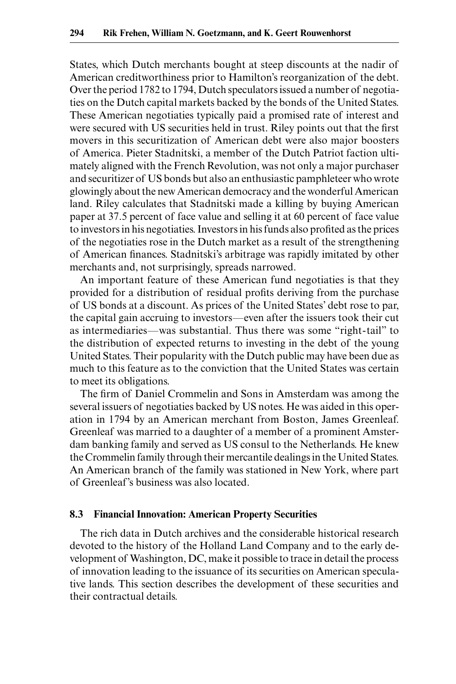States, which Dutch merchants bought at steep discounts at the nadir of American creditworthiness prior to Hamilton's reorganization of the debt. Over the period 1782 to 1794, Dutch speculators issued a number of negotiaties on the Dutch capital markets backed by the bonds of the United States. These American negotiaties typically paid a promised rate of interest and were secured with US securities held in trust. Riley points out that the first movers in this securitization of American debt were also major boosters of America. Pieter Stadnitski, a member of the Dutch Patriot faction ultimately aligned with the French Revolution, was not only a major purchaser and securitizer of US bonds but also an enthusiastic pamphleteer who wrote glowingly about the new American democracy and the wonderful American land. Riley calculates that Stadnitski made a killing by buying American paper at 37.5 percent of face value and selling it at 60 percent of face value to investors in his negotiaties. Investors in his funds also profited as the prices of the negotiaties rose in the Dutch market as a result of the strengthening of American finances. Stadnitski's arbitrage was rapidly imitated by other merchants and, not surprisingly, spreads narrowed.

An important feature of these American fund negotiaties is that they provided for a distribution of residual profits deriving from the purchase of US bonds at a discount. As prices of the United States' debt rose to par, the capital gain accruing to investors—even after the issuers took their cut as intermediaries—was substantial. Thus there was some "right-tail" to the distribution of expected returns to investing in the debt of the young United States. Their popularity with the Dutch public may have been due as much to this feature as to the conviction that the United States was certain to meet its obligations.

The firm of Daniel Crommelin and Sons in Amsterdam was among the several issuers of negotiaties backed by US notes. He was aided in this operation in 1794 by an American merchant from Boston, James Greenleaf. Greenleaf was married to a daughter of a member of a prominent Amsterdam banking family and served as US consul to the Netherlands. He knew the Crommelin family through their mercantile dealings in the United States. An American branch of the family was stationed in New York, where part of Greenleaf's business was also located.

#### **8.3 Financial Innovation: American Property Securities**

The rich data in Dutch archives and the considerable historical research devoted to the history of the Holland Land Company and to the early development of Washington, DC, make it possible to trace in detail the process of innovation leading to the issuance of its securities on American speculative lands. This section describes the development of these securities and their contractual details.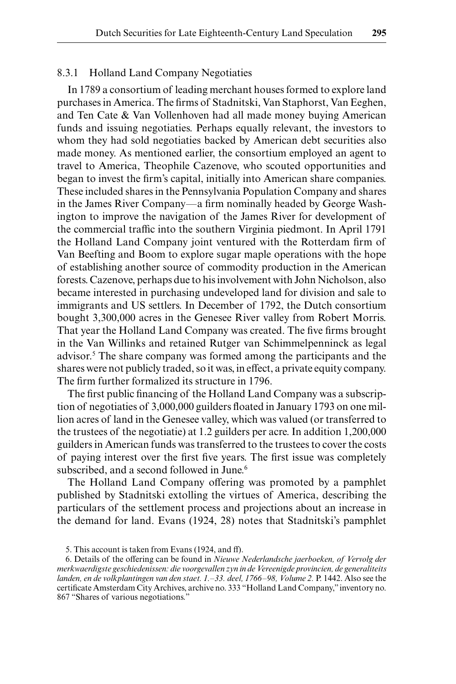## 8.3.1 Holland Land Company Negotiaties

In 1789 a consortium of leading merchant houses formed to explore land purchases in America. The firms of Stadnitski, Van Staphorst, Van Eeghen, and Ten Cate & Van Vollenhoven had all made money buying American funds and issuing negotiaties. Perhaps equally relevant, the investors to whom they had sold negotiaties backed by American debt securities also made money. As mentioned earlier, the consortium employed an agent to travel to America, Theophile Cazenove, who scouted opportunities and began to invest the firm's capital, initially into American share companies. These included shares in the Pennsylvania Population Company and shares in the James River Company—a firm nominally headed by George Washington to improve the navigation of the James River for development of the commercial traffic into the southern Virginia piedmont. In April 1791 the Holland Land Company joint ventured with the Rotterdam firm of Van Beefting and Boom to explore sugar maple operations with the hope of establishing another source of commodity production in the American forests. Cazenove, perhaps due to his involvement with John Nicholson, also became interested in purchasing undeveloped land for division and sale to immigrants and US settlers. In December of 1792, the Dutch consortium bought 3,300,000 acres in the Genesee River valley from Robert Morris. That year the Holland Land Company was created. The five firms brought in the Van Willinks and retained Rutger van Schimmelpenninck as legal advisor.5 The share company was formed among the participants and the shares were not publicly traded, so it was, in effect, a private equity company. The firm further formalized its structure in 1796.

The first public financing of the Holland Land Company was a subscription of negotiaties of 3,000,000 guilders floated in January 1793 on one million acres of land in the Genesee valley, which was valued (or transferred to the trustees of the negotiatie) at 1.2 guilders per acre. In addition 1,200,000 guilders in American funds was transferred to the trustees to cover the costs of paying interest over the first five years. The first issue was completely subscribed, and a second followed in June.<sup>6</sup>

The Holland Land Company offering was promoted by a pamphlet published by Stadnitski extolling the virtues of America, describing the particulars of the settlement process and projections about an increase in the demand for land. Evans (1924, 28) notes that Stadnitski's pamphlet

<sup>5.</sup> This account is taken from Evans (1924, and ff).

<sup>6.</sup> Details of the offering can be found in *Nieuwe Nederlandsche jaerboeken, of Vervolg der merkwaerdigste geschiedenissen: die voorgevallen zyn in de Vereenigde provincien, de generaliteits landen, en de volkplantingen van den staet. 1.–33. deel, 1766–98, Volume 2.* P. 1442. Also see the certificate Amsterdam City Archives, archive no. 333 "Holland Land Company," inventory no. 867 "Shares of various negotiations."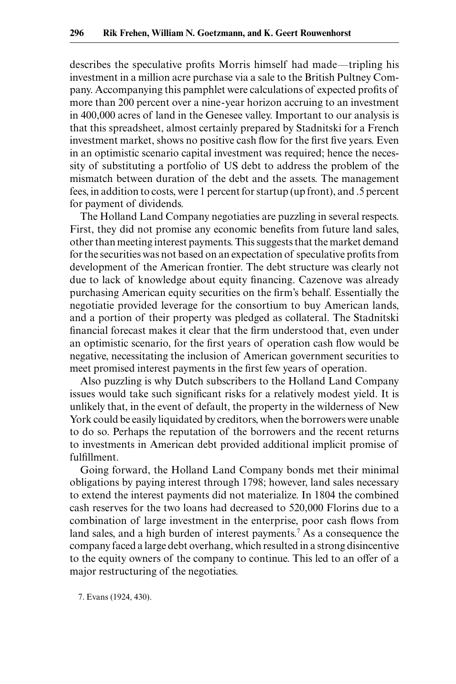describes the speculative profits Morris himself had made—tripling his investment in a million acre purchase via a sale to the British Pultney Company. Accompanying this pamphlet were calculations of expected profits of more than 200 percent over a nine-year horizon accruing to an investment in 400,000 acres of land in the Genesee valley. Important to our analysis is that this spreadsheet, almost certainly prepared by Stadnitski for a French investment market, shows no positive cash flow for the first five years. Even in an optimistic scenario capital investment was required; hence the necessity of substituting a portfolio of US debt to address the problem of the mismatch between duration of the debt and the assets. The management fees, in addition to costs, were 1 percent for startup (up front), and .5 percent for payment of dividends.

The Holland Land Company negotiaties are puzzling in several respects. First, they did not promise any economic benefits from future land sales, other than meeting interest payments. This suggests that the market demand for the securities was not based on an expectation of speculative profits from development of the American frontier. The debt structure was clearly not due to lack of knowledge about equity financing. Cazenove was already purchasing American equity securities on the firm's behalf. Essentially the negotiatie provided leverage for the consortium to buy American lands, and a portion of their property was pledged as collateral. The Stadnitski financial forecast makes it clear that the firm understood that, even under an optimistic scenario, for the first years of operation cash flow would be negative, necessitating the inclusion of American government securities to meet promised interest payments in the first few years of operation.

Also puzzling is why Dutch subscribers to the Holland Land Company issues would take such significant risks for a relatively modest yield. It is unlikely that, in the event of default, the property in the wilderness of New York could be easily liquidated by creditors, when the borrowers were unable to do so. Perhaps the reputation of the borrowers and the recent returns to investments in American debt provided additional implicit promise of fulfillment.

Going forward, the Holland Land Company bonds met their minimal obligations by paying interest through 1798; however, land sales necessary to extend the interest payments did not materialize. In 1804 the combined cash reserves for the two loans had decreased to 520,000 Florins due to a combination of large investment in the enterprise, poor cash flows from land sales, and a high burden of interest payments.<sup>7</sup> As a consequence the company faced a large debt overhang, which resulted in a strong disincentive to the equity owners of the company to continue. This led to an offer of a major restructuring of the negotiaties.

7. Evans (1924, 430).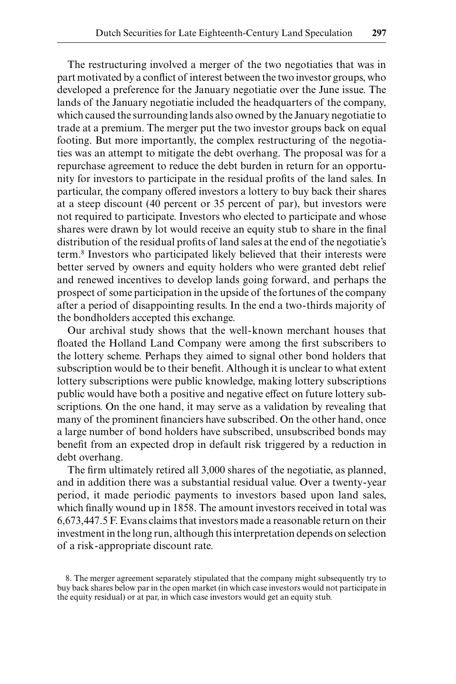The restructuring involved a merger of the two negotiaties that was in part motivated by a conflict of interest between the two investor groups, who developed a preference for the January negotiatie over the June issue. The lands of the January negotiatie included the headquarters of the company, which caused the surrounding lands also owned by the January negotiatie to trade at a premium. The merger put the two investor groups back on equal footing. But more importantly, the complex restructuring of the negotiaties was an attempt to mitigate the debt overhang. The proposal was for a repurchase agreement to reduce the debt burden in return for an opportunity for investors to participate in the residual profits of the land sales. In particular, the company offered investors a lottery to buy back their shares at a steep discount (40 percent or 35 percent of par), but investors were not required to participate. Investors who elected to participate and whose shares were drawn by lot would receive an equity stub to share in the final distribution of the residual profits of land sales at the end of the negotiatie's term.8 Investors who participated likely believed that their interests were better served by owners and equity holders who were granted debt relief and renewed incentives to develop lands going forward, and perhaps the prospect of some participation in the upside of the fortunes of the company after a period of disappointing results. In the end a two-thirds majority of the bondholders accepted this exchange.

Our archival study shows that the well-known merchant houses that floated the Holland Land Company were among the first subscribers to the lottery scheme. Perhaps they aimed to signal other bond holders that subscription would be to their benefit. Although it is unclear to what extent lottery subscriptions were public knowledge, making lottery subscriptions public would have both a positive and negative effect on future lottery subscriptions. On the one hand, it may serve as a validation by revealing that many of the prominent financiers have subscribed. On the other hand, once a large number of bond holders have subscribed, unsubscribed bonds may benefit from an expected drop in default risk triggered by a reduction in debt overhang.

The firm ultimately retired all 3,000 shares of the negotiatie, as planned, and in addition there was a substantial residual value. Over a twenty-year period, it made periodic payments to investors based upon land sales, which finally wound up in 1858. The amount investors received in total was 6,673,447.5 F. Evans claims that investors made a reasonable return on their investment in the long run, although this interpretation depends on selection of a risk-appropriate discount rate.

8. The merger agreement separately stipulated that the company might subsequently try to buy back shares below par in the open market (in which case investors would not participate in the equity residual) or at par, in which case investors would get an equity stub.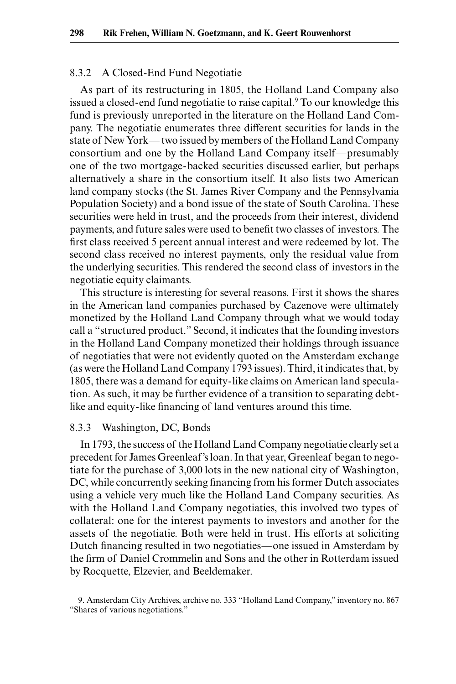## 8.3.2 A Closed-End Fund Negotiatie

As part of its restructuring in 1805, the Holland Land Company also issued a closed-end fund negotiatie to raise capital.<sup>9</sup> To our knowledge this fund is previously unreported in the literature on the Holland Land Company. The negotiatie enumerates three different securities for lands in the state of New York— two issued by members of the Holland Land Company consortium and one by the Holland Land Company itself—presumably one of the two mortgage-backed securities discussed earlier, but perhaps alternatively a share in the consortium itself. It also lists two American land company stocks (the St. James River Company and the Pennsylvania Population Society) and a bond issue of the state of South Carolina. These securities were held in trust, and the proceeds from their interest, dividend payments, and future sales were used to benefit two classes of investors. The first class received 5 percent annual interest and were redeemed by lot. The second class received no interest payments, only the residual value from the underlying securities. This rendered the second class of investors in the negotiatie equity claimants.

This structure is interesting for several reasons. First it shows the shares in the American land companies purchased by Cazenove were ultimately monetized by the Holland Land Company through what we would today call a "structured product." Second, it indicates that the founding investors in the Holland Land Company monetized their holdings through issuance of negotiaties that were not evidently quoted on the Amsterdam exchange (as were the Holland Land Company 1793 issues). Third, it indicates that, by 1805, there was a demand for equity-like claims on American land speculation. As such, it may be further evidence of a transition to separating debtlike and equity-like financing of land ventures around this time.

## 8.3.3 Washington, DC, Bonds

In 1793, the success of the Holland Land Company negotiatie clearly set a precedent for James Greenleaf's loan. In that year, Greenleaf began to negotiate for the purchase of 3,000 lots in the new national city of Washington, DC, while concurrently seeking financing from his former Dutch associates using a vehicle very much like the Holland Land Company securities. As with the Holland Land Company negotiaties, this involved two types of collateral: one for the interest payments to investors and another for the assets of the negotiatie. Both were held in trust. His efforts at soliciting Dutch financing resulted in two negotiaties—one issued in Amsterdam by the firm of Daniel Crommelin and Sons and the other in Rotterdam issued by Rocquette, Elzevier, and Beeldemaker.

<sup>9.</sup> Amsterdam City Archives, archive no. 333 "Holland Land Company," inventory no. 867 "Shares of various negotiations."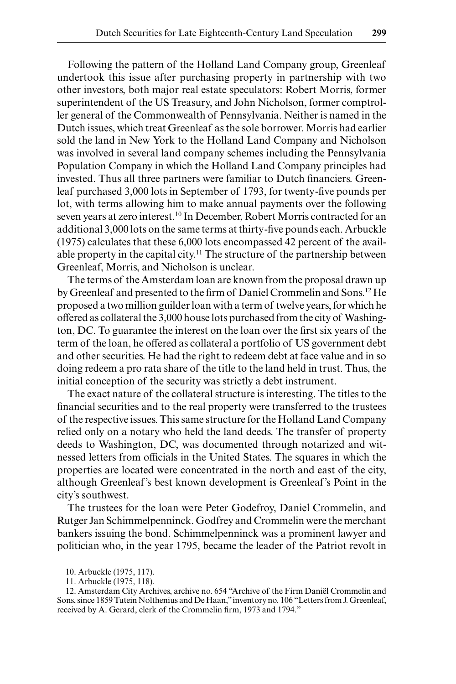Following the pattern of the Holland Land Company group, Greenleaf undertook this issue after purchasing property in partnership with two other investors, both major real estate speculators: Robert Morris, former superintendent of the US Treasury, and John Nicholson, former comptroller general of the Commonwealth of Pennsylvania. Neither is named in the Dutch issues, which treat Greenleaf as the sole borrower. Morris had earlier sold the land in New York to the Holland Land Company and Nicholson was involved in several land company schemes including the Pennsylvania Population Company in which the Holland Land Company principles had invested. Thus all three partners were familiar to Dutch financiers. Greenleaf purchased 3,000 lots in September of 1793, for twenty-five pounds per lot, with terms allowing him to make annual payments over the following seven years at zero interest.<sup>10</sup> In December, Robert Morris contracted for an additional 3,000 lots on the same terms at thirty-five pounds each. Arbuckle (1975) calculates that these 6,000 lots encompassed 42 percent of the available property in the capital city.<sup>11</sup> The structure of the partnership between Greenleaf, Morris, and Nicholson is unclear.

The terms of the Amsterdam loan are known from the proposal drawn up by Greenleaf and presented to the firm of Daniel Crommelin and Sons.<sup>12</sup> He proposed a two million guilder loan with a term of twelve years, for which he offered as collateral the 3,000 house lots purchased from the city of Washington, DC. To guarantee the interest on the loan over the first six years of the term of the loan, he offered as collateral a portfolio of US government debt and other securities. He had the right to redeem debt at face value and in so doing redeem a pro rata share of the title to the land held in trust. Thus, the initial conception of the security was strictly a debt instrument.

The exact nature of the collateral structure is interesting. The titles to the financial securities and to the real property were transferred to the trustees of the respective issues. This same structure for the Holland Land Company relied only on a notary who held the land deeds. The transfer of property deeds to Washington, DC, was documented through notarized and witnessed letters from officials in the United States. The squares in which the properties are located were concentrated in the north and east of the city, although Greenleaf's best known development is Greenleaf's Point in the city's southwest.

The trustees for the loan were Peter Godefroy, Daniel Crommelin, and Rutger Jan Schimmelpenninck. Godfrey and Crommelin were the merchant bankers issuing the bond. Schimmelpenninck was a prominent lawyer and politician who, in the year 1795, became the leader of the Patriot revolt in

<sup>10.</sup> Arbuckle (1975, 117).

<sup>11.</sup> Arbuckle (1975, 118).

<sup>12.</sup> Amsterdam City Archives, archive no. 654 "Archive of the Firm Daniël Crommelin and Sons, since 1859 Tutein Nolthenius and De Haan," inventory no. 106 "Letters from J. Greenleaf, received by A. Gerard, clerk of the Crommelin firm, 1973 and 1794."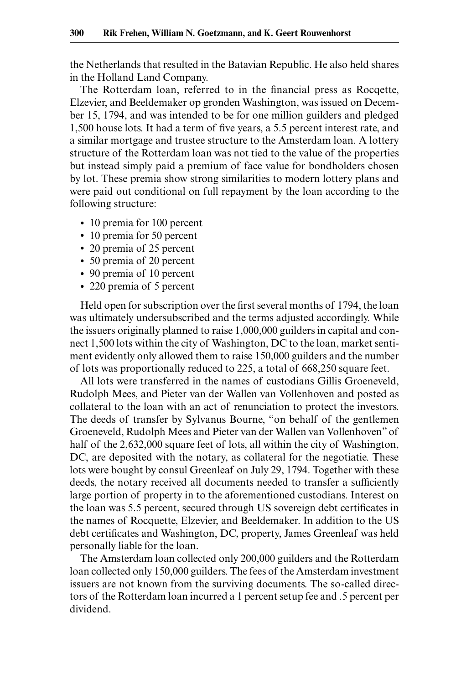the Netherlands that resulted in the Batavian Republic. He also held shares in the Holland Land Company.

The Rotterdam loan, referred to in the financial press as Rocqette, Elzevier, and Beeldemaker op gronden Washington, was issued on December 15, 1794, and was intended to be for one million guilders and pledged 1,500 house lots. It had a term of five years, a 5.5 percent interest rate, and a similar mortgage and trustee structure to the Amsterdam loan. A lottery structure of the Rotterdam loan was not tied to the value of the properties but instead simply paid a premium of face value for bondholders chosen by lot. These premia show strong similarities to modern lottery plans and were paid out conditional on full repayment by the loan according to the following structure:

- 10 premia for 100 percent
- 10 premia for 50 percent
- 20 premia of 25 percent
- 50 premia of 20 percent
- 90 premia of 10 percent
- 220 premia of 5 percent

Held open for subscription over the first several months of 1794, the loan was ultimately undersubscribed and the terms adjusted accordingly. While the issuers originally planned to raise 1,000,000 guilders in capital and connect 1,500 lots within the city of Washington, DC to the loan, market sentiment evidently only allowed them to raise 150,000 guilders and the number of lots was proportionally reduced to 225, a total of 668,250 square feet.

All lots were transferred in the names of custodians Gillis Groeneveld, Rudolph Mees, and Pieter van der Wallen van Vollenhoven and posted as collateral to the loan with an act of renunciation to protect the investors. The deeds of transfer by Sylvanus Bourne, "on behalf of the gentlemen Groeneveld, Rudolph Mees and Pieter van der Wallen van Vollenhoven" of half of the 2,632,000 square feet of lots, all within the city of Washington, DC, are deposited with the notary, as collateral for the negotiatie. These lots were bought by consul Greenleaf on July 29, 1794. Together with these deeds, the notary received all documents needed to transfer a sufficiently large portion of property in to the aforementioned custodians. Interest on the loan was 5.5 percent, secured through US sovereign debt certificates in the names of Rocquette, Elzevier, and Beeldemaker. In addition to the US debt certificates and Washington, DC, property, James Greenleaf was held personally liable for the loan.

The Amsterdam loan collected only 200,000 guilders and the Rotterdam loan collected only 150,000 guilders. The fees of the Amsterdam investment issuers are not known from the surviving documents. The so-called directors of the Rotterdam loan incurred a 1 percent setup fee and .5 percent per dividend.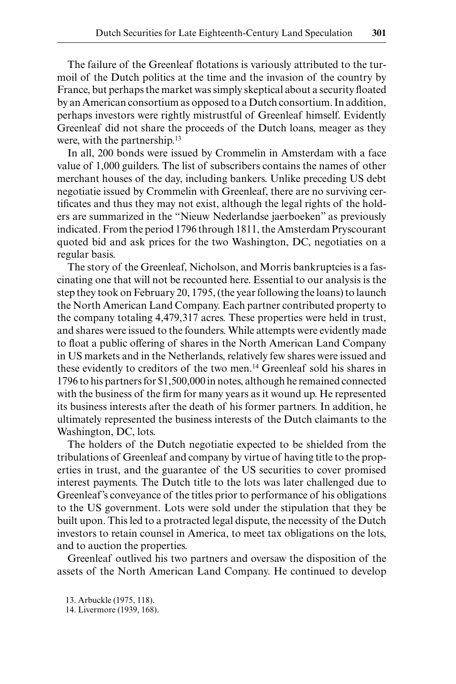The failure of the Greenleaf flotations is variously attributed to the turmoil of the Dutch politics at the time and the invasion of the country by France, but perhaps the market was simply skeptical about a security floated by an American consortium as opposed to a Dutch consortium. In addition, perhaps investors were rightly mistrustful of Greenleaf himself. Evidently Greenleaf did not share the proceeds of the Dutch loans, meager as they were, with the partnership.<sup>13</sup>

In all, 200 bonds were issued by Crommelin in Amsterdam with a face value of 1,000 guilders. The list of subscribers contains the names of other merchant houses of the day, including bankers. Unlike preceding US debt negotiatie issued by Crommelin with Greenleaf, there are no surviving certificates and thus they may not exist, although the legal rights of the holders are summarized in the "Nieuw Nederlandse jaerboeken" as previously indicated. From the period 1796 through 1811, the Amsterdam Pryscourant quoted bid and ask prices for the two Washington, DC, negotiaties on a regular basis.

The story of the Greenleaf, Nicholson, and Morris bankruptcies is a fascinating one that will not be recounted here. Essential to our analysis is the step they took on February 20, 1795, (the year following the loans) to launch the North American Land Company. Each partner contributed property to the company totaling 4,479,317 acres. These properties were held in trust, and shares were issued to the founders. While attempts were evidently made to float a public offering of shares in the North American Land Company in US markets and in the Netherlands, relatively few shares were issued and these evidently to creditors of the two men.14 Greenleaf sold his shares in 1796 to his partners for \$1,500,000 in notes, although he remained connected with the business of the firm for many years as it wound up. He represented its business interests after the death of his former partners. In addition, he ultimately represented the business interests of the Dutch claimants to the Washington, DC, lots.

The holders of the Dutch negotiatie expected to be shielded from the tribulations of Greenleaf and company by virtue of having title to the properties in trust, and the guarantee of the US securities to cover promised interest payments. The Dutch title to the lots was later challenged due to Greenleaf's conveyance of the titles prior to performance of his obligations to the US government. Lots were sold under the stipulation that they be built upon. This led to a protracted legal dispute, the necessity of the Dutch investors to retain counsel in America, to meet tax obligations on the lots, and to auction the properties.

Greenleaf outlived his two partners and oversaw the disposition of the assets of the North American Land Company. He continued to develop

13. Arbuckle (1975, 118).

14. Livermore (1939, 168).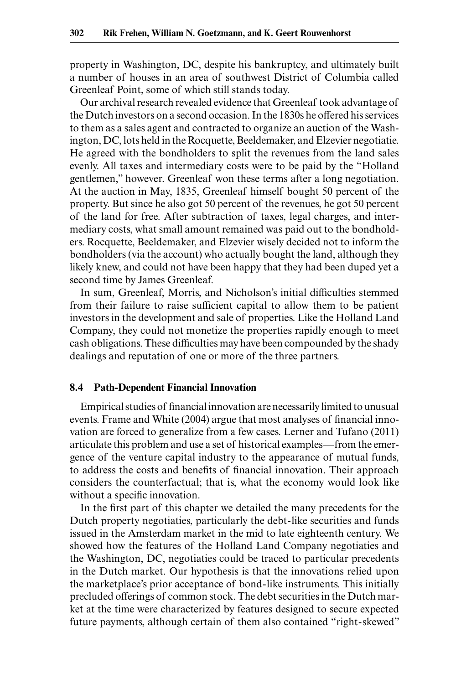property in Washington, DC, despite his bankruptcy, and ultimately built a number of houses in an area of southwest District of Columbia called Greenleaf Point, some of which still stands today.

Our archival research revealed evidence that Greenleaf took advantage of the Dutch investors on a second occasion. In the 1830s he offered his services to them as a sales agent and contracted to organize an auction of the Washington, DC, lots held in the Rocquette, Beeldemaker, and Elzevier negotiatie. He agreed with the bondholders to split the revenues from the land sales evenly. All taxes and intermediary costs were to be paid by the "Holland gentlemen," however. Greenleaf won these terms after a long negotiation. At the auction in May, 1835, Greenleaf himself bought 50 percent of the property. But since he also got 50 percent of the revenues, he got 50 percent of the land for free. After subtraction of taxes, legal charges, and intermediary costs, what small amount remained was paid out to the bondholders. Rocquette, Beeldemaker, and Elzevier wisely decided not to inform the bondholders (via the account) who actually bought the land, although they likely knew, and could not have been happy that they had been duped yet a second time by James Greenleaf.

In sum, Greenleaf, Morris, and Nicholson's initial difficulties stemmed from their failure to raise sufficient capital to allow them to be patient investors in the development and sale of properties. Like the Holland Land Company, they could not monetize the properties rapidly enough to meet cash obligations. These difficulties may have been compounded by the shady dealings and reputation of one or more of the three partners.

#### **8.4 Path-Dependent Financial Innovation**

Empirical studies of financial innovation are necessarily limited to unusual events. Frame and White (2004) argue that most analyses of financial innovation are forced to generalize from a few cases. Lerner and Tufano (2011) articulate this problem and use a set of historical examples—from the emergence of the venture capital industry to the appearance of mutual funds, to address the costs and benefits of financial innovation. Their approach considers the counterfactual; that is, what the economy would look like without a specific innovation.

In the first part of this chapter we detailed the many precedents for the Dutch property negotiaties, particularly the debt-like securities and funds issued in the Amsterdam market in the mid to late eighteenth century. We showed how the features of the Holland Land Company negotiaties and the Washington, DC, negotiaties could be traced to particular precedents in the Dutch market. Our hypothesis is that the innovations relied upon the marketplace's prior acceptance of bond-like instruments. This initially precluded offerings of common stock. The debt securities in the Dutch market at the time were characterized by features designed to secure expected future payments, although certain of them also contained "right-skewed"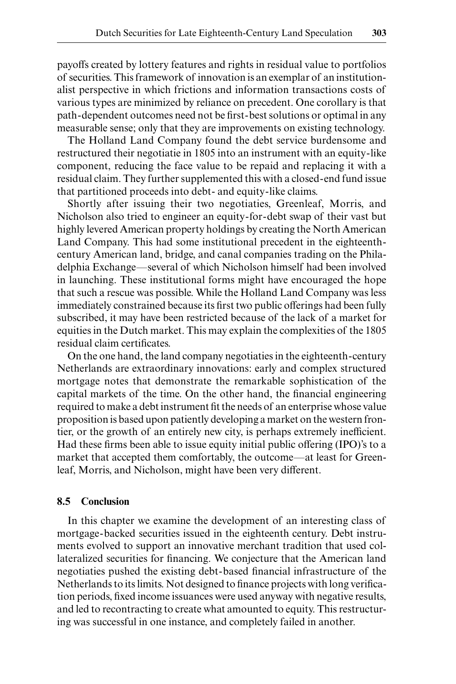payoffs created by lottery features and rights in residual value to portfolios of securities. This framework of innovation is an exemplar of an institutionalist perspective in which frictions and information transactions costs of various types are minimized by reliance on precedent. One corollary is that path-dependent outcomes need not be first-best solutions or optimal in any measurable sense; only that they are improvements on existing technology.

The Holland Land Company found the debt service burdensome and restructured their negotiatie in 1805 into an instrument with an equity-like component, reducing the face value to be repaid and replacing it with a residual claim. They further supplemented this with a closed-end fund issue that partitioned proceeds into debt- and equity-like claims.

Shortly after issuing their two negotiaties, Greenleaf, Morris, and Nicholson also tried to engineer an equity-for-debt swap of their vast but highly levered American property holdings by creating the North American Land Company. This had some institutional precedent in the eighteenthcentury American land, bridge, and canal companies trading on the Philadelphia Exchange—several of which Nicholson himself had been involved in launching. These institutional forms might have encouraged the hope that such a rescue was possible. While the Holland Land Company was less immediately constrained because its first two public offerings had been fully subscribed, it may have been restricted because of the lack of a market for equities in the Dutch market. This may explain the complexities of the 1805 residual claim certificates.

On the one hand, the land company negotiaties in the eighteenth-century Netherlands are extraordinary innovations: early and complex structured mortgage notes that demonstrate the remarkable sophistication of the capital markets of the time. On the other hand, the financial engineering required to make a debt instrument fit the needs of an enterprise whose value proposition is based upon patiently developing a market on the western frontier, or the growth of an entirely new city, is perhaps extremely inefficient. Had these firms been able to issue equity initial public offering (IPO)'s to a market that accepted them comfortably, the outcome—at least for Greenleaf, Morris, and Nicholson, might have been very different.

#### **8.5 Conclusion**

In this chapter we examine the development of an interesting class of mortgage-backed securities issued in the eighteenth century. Debt instruments evolved to support an innovative merchant tradition that used collateralized securities for financing. We conjecture that the American land negotiaties pushed the existing debt-based financial infrastructure of the Netherlands to its limits. Not designed to finance projects with long verification periods, fixed income issuances were used anyway with negative results, and led to recontracting to create what amounted to equity. This restructuring was successful in one instance, and completely failed in another.